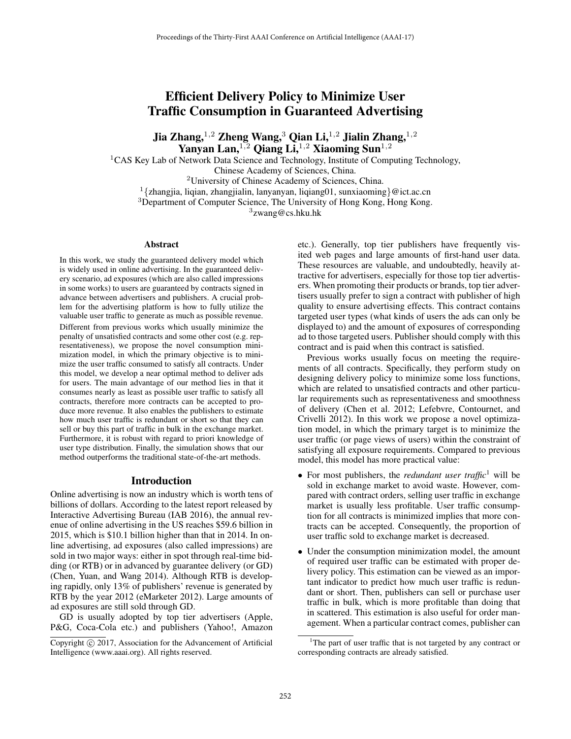# Efficient Delivery Policy to Minimize User Traffic Consumption in Guaranteed Advertising

Jia Zhang,  $^{1,2}$  Zheng Wang,  $^3$  Qian Li,  $^{1,2}$  Jialin Zhang,  $^{1,2}$ Yanyan Lan,  $^{1,2}$  Qiang Li,  $^{1,2}$  Xiaoming Sun $^{1,2}$ 

<sup>1</sup>CAS Key Lab of Network Data Science and Technology, Institute of Computing Technology,

Chinese Academy of Sciences, China.

<sup>2</sup>University of Chinese Academy of Sciences, China.

<sup>1</sup> $\{z$ hangjia, liqian, zhangjialin, lanyanyan, liqiang01, sunxiaoming $\}$ @ict.ac.cn

<sup>3</sup>Department of Computer Science, The University of Hong Kong, Hong Kong.

<sup>3</sup>zwang@cs.hku.hk

#### Abstract

In this work, we study the guaranteed delivery model which is widely used in online advertising. In the guaranteed delivery scenario, ad exposures (which are also called impressions in some works) to users are guaranteed by contracts signed in advance between advertisers and publishers. A crucial problem for the advertising platform is how to fully utilize the valuable user traffic to generate as much as possible revenue. Different from previous works which usually minimize the penalty of unsatisfied contracts and some other cost (e.g. representativeness), we propose the novel consumption minimization model, in which the primary objective is to minimize the user traffic consumed to satisfy all contracts. Under this model, we develop a near optimal method to deliver ads for users. The main advantage of our method lies in that it consumes nearly as least as possible user traffic to satisfy all contracts, therefore more contracts can be accepted to produce more revenue. It also enables the publishers to estimate how much user traffic is redundant or short so that they can sell or buy this part of traffic in bulk in the exchange market. Furthermore, it is robust with regard to priori knowledge of user type distribution. Finally, the simulation shows that our method outperforms the traditional state-of-the-art methods.

#### Introduction

Online advertising is now an industry which is worth tens of billions of dollars. According to the latest report released by Interactive Advertising Bureau (IAB 2016), the annual revenue of online advertising in the US reaches \$59.6 billion in 2015, which is \$10.1 billion higher than that in 2014. In online advertising, ad exposures (also called impressions) are sold in two major ways: either in spot through real-time bidding (or RTB) or in advanced by guarantee delivery (or GD) (Chen, Yuan, and Wang 2014). Although RTB is developing rapidly, only 13% of publishers' revenue is generated by RTB by the year 2012 (eMarketer 2012). Large amounts of ad exposures are still sold through GD.

GD is usually adopted by top tier advertisers (Apple, P&G, Coca-Cola etc.) and publishers (Yahoo!, Amazon

etc.). Generally, top tier publishers have frequently visited web pages and large amounts of first-hand user data. These resources are valuable, and undoubtedly, heavily attractive for advertisers, especially for those top tier advertisers. When promoting their products or brands, top tier advertisers usually prefer to sign a contract with publisher of high quality to ensure advertising effects. This contract contains targeted user types (what kinds of users the ads can only be displayed to) and the amount of exposures of corresponding ad to those targeted users. Publisher should comply with this contract and is paid when this contract is satisfied.

Previous works usually focus on meeting the requirements of all contracts. Specifically, they perform study on designing delivery policy to minimize some loss functions, which are related to unsatisfied contracts and other particular requirements such as representativeness and smoothness of delivery (Chen et al. 2012; Lefebvre, Contournet, and Crivelli 2012). In this work we propose a novel optimization model, in which the primary target is to minimize the user traffic (or page views of users) within the constraint of satisfying all exposure requirements. Compared to previous model, this model has more practical value:

- For most publishers, the *redundant user traffic*<sup>1</sup> will be sold in exchange market to avoid waste. However, compared with contract orders, selling user traffic in exchange market is usually less profitable. User traffic consumption for all contracts is minimized implies that more contracts can be accepted. Consequently, the proportion of user traffic sold to exchange market is decreased.
- Under the consumption minimization model, the amount of required user traffic can be estimated with proper delivery policy. This estimation can be viewed as an important indicator to predict how much user traffic is redundant or short. Then, publishers can sell or purchase user traffic in bulk, which is more profitable than doing that in scattered. This estimation is also useful for order management. When a particular contract comes, publisher can

Copyright  $\odot$  2017, Association for the Advancement of Artificial Intelligence (www.aaai.org). All rights reserved.

<sup>&</sup>lt;sup>1</sup>The part of user traffic that is not targeted by any contract or corresponding contracts are already satisfied.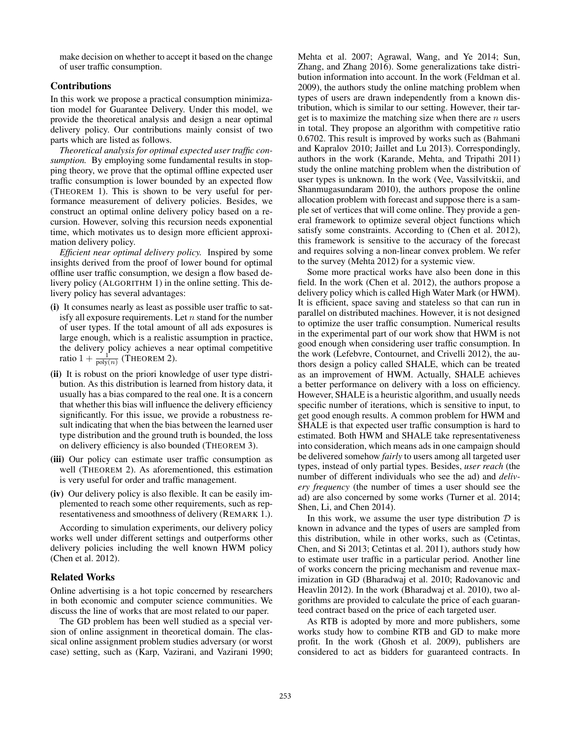make decision on whether to accept it based on the change of user traffic consumption.

# Contributions

In this work we propose a practical consumption minimization model for Guarantee Delivery. Under this model, we provide the theoretical analysis and design a near optimal delivery policy. Our contributions mainly consist of two parts which are listed as follows.

*Theoretical analysis for optimal expected user traffic consumption.* By employing some fundamental results in stopping theory, we prove that the optimal offline expected user traffic consumption is lower bounded by an expected flow (THEOREM 1). This is shown to be very useful for performance measurement of delivery policies. Besides, we construct an optimal online delivery policy based on a recursion. However, solving this recursion needs exponential time, which motivates us to design more efficient approximation delivery policy.

*Efficient near optimal delivery policy.* Inspired by some insights derived from the proof of lower bound for optimal offline user traffic consumption, we design a flow based delivery policy (ALGORITHM 1) in the online setting. This delivery policy has several advantages:

- (i) It consumes nearly as least as possible user traffic to satisfy all exposure requirements. Let  $n$  stand for the number of user types. If the total amount of all ads exposures is large enough, which is a realistic assumption in practice, the delivery policy achieves a near optimal competitive ratio  $1 + \frac{1}{\text{poly}(n)}$  (THEOREM 2).
- (ii) It is robust on the priori knowledge of user type distribution. As this distribution is learned from history data, it usually has a bias compared to the real one. It is a concern that whether this bias will influence the delivery efficiency significantly. For this issue, we provide a robustness result indicating that when the bias between the learned user type distribution and the ground truth is bounded, the loss on delivery efficiency is also bounded (THEOREM 3).
- (iii) Our policy can estimate user traffic consumption as well (THEOREM 2). As aforementioned, this estimation is very useful for order and traffic management.
- (iv) Our delivery policy is also flexible. It can be easily implemented to reach some other requirements, such as representativeness and smoothness of delivery (REMARK 1.).

According to simulation experiments, our delivery policy works well under different settings and outperforms other delivery policies including the well known HWM policy (Chen et al. 2012).

### Related Works

Online advertising is a hot topic concerned by researchers in both economic and computer science communities. We discuss the line of works that are most related to our paper.

The GD problem has been well studied as a special version of online assignment in theoretical domain. The classical online assignment problem studies adversary (or worst case) setting, such as (Karp, Vazirani, and Vazirani 1990;

Mehta et al. 2007; Agrawal, Wang, and Ye 2014; Sun, Zhang, and Zhang 2016). Some generalizations take distribution information into account. In the work (Feldman et al. 2009), the authors study the online matching problem when types of users are drawn independently from a known distribution, which is similar to our setting. However, their target is to maximize the matching size when there are  $n$  users in total. They propose an algorithm with competitive ratio 0.6702. This result is improved by works such as (Bahmani and Kapralov 2010; Jaillet and Lu 2013). Correspondingly, authors in the work (Karande, Mehta, and Tripathi 2011) study the online matching problem when the distribution of user types is unknown. In the work (Vee, Vassilvitskii, and Shanmugasundaram 2010), the authors propose the online allocation problem with forecast and suppose there is a sample set of vertices that will come online. They provide a general framework to optimize several object functions which satisfy some constraints. According to (Chen et al. 2012), this framework is sensitive to the accuracy of the forecast and requires solving a non-linear convex problem. We refer to the survey (Mehta 2012) for a systemic view.

Some more practical works have also been done in this field. In the work (Chen et al. 2012), the authors propose a delivery policy which is called High Water Mark (or HWM). It is efficient, space saving and stateless so that can run in parallel on distributed machines. However, it is not designed to optimize the user traffic consumption. Numerical results in the experimental part of our work show that HWM is not good enough when considering user traffic consumption. In the work (Lefebvre, Contournet, and Crivelli 2012), the authors design a policy called SHALE, which can be treated as an improvement of HWM. Actually, SHALE achieves a better performance on delivery with a loss on efficiency. However, SHALE is a heuristic algorithm, and usually needs specific number of iterations, which is sensitive to input, to get good enough results. A common problem for HWM and SHALE is that expected user traffic consumption is hard to estimated. Both HWM and SHALE take representativeness into consideration, which means ads in one campaign should be delivered somehow *fairly* to users among all targeted user types, instead of only partial types. Besides, *user reach* (the number of different individuals who see the ad) and *delivery frequency* (the number of times a user should see the ad) are also concerned by some works (Turner et al. 2014; Shen, Li, and Chen 2014).

In this work, we assume the user type distribution  $D$  is known in advance and the types of users are sampled from this distribution, while in other works, such as (Cetintas, Chen, and Si 2013; Cetintas et al. 2011), authors study how to estimate user traffic in a particular period. Another line of works concern the pricing mechanism and revenue maximization in GD (Bharadwaj et al. 2010; Radovanovic and Heavlin 2012). In the work (Bharadwaj et al. 2010), two algorithms are provided to calculate the price of each guaranteed contract based on the price of each targeted user.

As RTB is adopted by more and more publishers, some works study how to combine RTB and GD to make more profit. In the work (Ghosh et al. 2009), publishers are considered to act as bidders for guaranteed contracts. In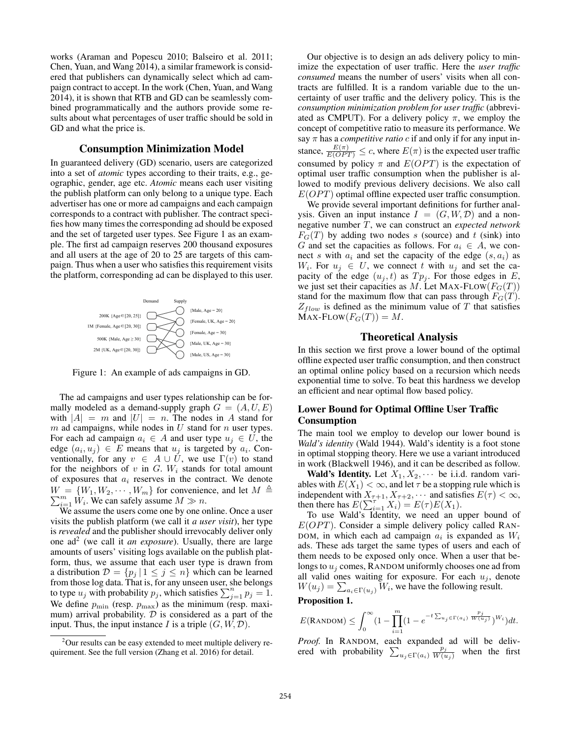works (Araman and Popescu 2010; Balseiro et al. 2011; Chen, Yuan, and Wang 2014), a similar framework is considered that publishers can dynamically select which ad campaign contract to accept. In the work (Chen, Yuan, and Wang 2014), it is shown that RTB and GD can be seamlessly combined programmatically and the authors provide some results about what percentages of user traffic should be sold in GD and what the price is.

## Consumption Minimization Model

In guaranteed delivery (GD) scenario, users are categorized into a set of *atomic* types according to their traits, e.g., geographic, gender, age etc. *Atomic* means each user visiting the publish platform can only belong to a unique type. Each advertiser has one or more ad campaigns and each campaign corresponds to a contract with publisher. The contract specifies how many times the corresponding ad should be exposed and the set of targeted user types. See Figure 1 as an example. The first ad campaign reserves 200 thousand exposures and all users at the age of 20 to 25 are targets of this campaign. Thus when a user who satisfies this requirement visits the platform, corresponding ad can be displayed to this user.



Figure 1: An example of ads campaigns in GD.

The ad campaigns and user types relationship can be formally modeled as a demand-supply graph  $G = (A, U, E)$ with  $|A| = m$  and  $|U| = n$ . The nodes in A stand for m ad campaigns, while nodes in  $U$  stand for  $n$  user types. For each ad campaign  $a_i \in A$  and user type  $u_j \in U$ , the edge  $(a_i, u_j) \in E$  means that  $u_j$  is targeted by  $a_i$ . Conventionally, for any  $v \in A \cup U$ , we use  $\Gamma(v)$  to stand for the neighbors of v in  $G$ .  $W_i$  stands for total amount of exposures that  $a_i$  reserves in the contract. We denote  $W = \{W_1, W_2, \dots, W_m\}$  for convenience, and let  $M \triangleq \sum_{i=1}^{m} W_i$ . We can safely assume  $M \gg n$ .  $W = \{W_1, W_2, \cdots, W_m\}$  for convenience, and let  $M \triangleq$ 

We assume the users come one by one online. Once a user visits the publish platform (we call it *a user visit*), her type is *revealed* and the publisher should irrevocably deliver only one  $ad^2$  (we call it *an exposure*). Usually, there are large amounts of users' visiting logs available on the publish platform, thus, we assume that each user type is drawn from a distribution  $\mathcal{D} = \{p_j | 1 \leq j \leq n\}$  which can be learned from those log data. That is, for any unseen user, she belongs to type  $u_j$  with probability  $p_j$ , which satisfies  $\sum_{j=1}^n p_j = 1$ .<br>We define  $n_j$  (resp. n.g.) as the minimum (resp. maxi-We define  $p_{\min}$  (resp.  $p_{\max}$ ) as the minimum (resp. maximum) arrival probability.  $D$  is considered as a part of the input. Thus, the input instance I is a triple  $(G, W, \mathcal{D})$ .

Our objective is to design an ads delivery policy to minimize the expectation of user traffic. Here the *user traffic consumed* means the number of users' visits when all contracts are fulfilled. It is a random variable due to the uncertainty of user traffic and the delivery policy. This is the *consumption minimization problem for user traffic* (abbreviated as CMPUT). For a delivery policy  $\pi$ , we employ the concept of competitive ratio to measure its performance. We say  $\pi$  has a *competitive ratio*  $c$  if and only if for any input instance,  $\frac{E(\pi)}{E(OPT)} \leq c$ , where  $E(\pi)$  is the expected user traffic consumed by policy  $\pi$  and  $E(OPT)$  is the expectation of optimal user traffic consumption when the publisher is allowed to modify previous delivery decisions. We also call  $E(OPT)$  optimal offline expected user traffic consumption.

We provide several important definitions for further analysis. Given an input instance  $I = (G, W, \mathcal{D})$  and a nonnegative number T, we can construct an *expected network*  $F<sub>G</sub>(T)$  by adding two nodes s (source) and t (sink) into G and set the capacities as follows. For  $a_i \in A$ , we connect s with  $a_i$  and set the capacity of the edge  $(s, a_i)$  as  $W_i$ . For  $u_j \in U$ , we connect t with  $u_j$  and set the capacity of the edge  $(u_j, t)$  as  $Tp_j$ . For those edges in E, we just set their capacities as M. Let MAX-FLOW( $F_G(T)$ ) stand for the maximum flow that can pass through  $F<sub>G</sub>(T)$ .  $Z_{flow}$  is defined as the minimum value of T that satisfies  $MAX$ -FLOW $(F_G(T)) = M$ .

## Theoretical Analysis

In this section we first prove a lower bound of the optimal offline expected user traffic consumption, and then construct an optimal online policy based on a recursion which needs exponential time to solve. To beat this hardness we develop an efficient and near optimal flow based policy.

# Lower Bound for Optimal Offline User Traffic Consumption

The main tool we employ to develop our lower bound is *Wald's identity* (Wald 1944). Wald's identity is a foot stone in optimal stopping theory. Here we use a variant introduced in work (Blackwell 1946), and it can be described as follow.

**Wald's Identity.** Let  $X_1, X_2, \cdots$  be i.i.d. random variables with  $E(X_1) < \infty$ , and let  $\tau$  be a stopping rule which is ables with  $E(X_1) < \infty$ , and let  $\tau$  be a stopping rule which is independent with  $X_{-1,1}$ ,  $X_{-1,2}$ ,  $\cdots$  and satisfies  $E(\tau) < \infty$ independent with  $X_{\tau+1}, X_{\tau+2}, \cdots$  and satisfies  $E(\tau) < \infty$ ,<br>then there has  $E(\sum_{i=1}^{T} X_i) = E(\tau)E(X_i)$ then there has  $E(\sum_{i=1}^{T} X_i) = E(\tau)E(X_1)$ .<br>To use Wald's Identity, we need an upper bound of

 $E(OPT)$ . Consider a simple delivery policy called RAN-DOM, in which each ad campaign  $a_i$  is expanded as  $W_i$ ads. These ads target the same types of users and each of them needs to be exposed only once. When a user that belongs to  $u_i$  comes, RANDOM uniformly chooses one ad from all valid ones waiting for exposure. For each  $u_j$ , denote  $W(u_j) = \sum_{a_i \in \Gamma(u_j)} W_i$ , we have the following result.

### Proposition 1.

$$
E(\text{RANDOM}) \leq \int_0^\infty \left(1 - \prod_{i=1}^m (1 - e^{-t \sum_{u_j \in \Gamma(a_i)} \frac{p_j}{W(u_j)}})^{W_i}\right) dt.
$$

*Proof.* In RANDOM, each expanded ad will be delivered with probability  $\sum_{u_j \in \Gamma(a_i)}$  $\frac{p_j}{W(u_j)}$  when the first

 $2$ Our results can be easy extended to meet multiple delivery requirement. See the full version (Zhang et al. 2016) for detail.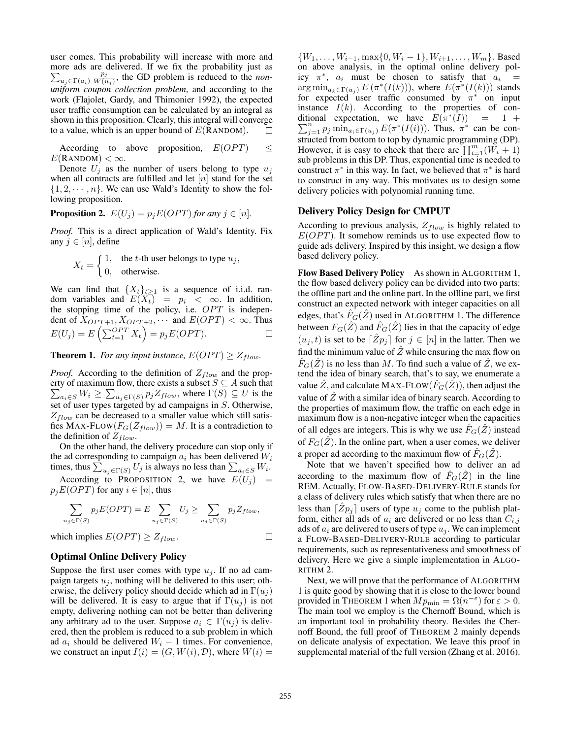user comes. This probability will increase with more and more ads are delivered. If we fix the probability just as  $\frac{p_j}{W(u_j)}$ , the GD problem is reduced to the *non*- $\sum_{u_j \in \Gamma(a_i)}$ *uniform coupon collection problem*, and according to the work (Flajolet, Gardy, and Thimonier 1992), the expected user traffic consumption can be calculated by an integral as shown in this proposition. Clearly, this integral will converge to a value, which is an upper bound of  $E(RANDOM)$ .  $\Box$ 

According to above proposition,  $E(OPT) \leq$  $E(\text{RANDOM}) < \infty$ .

Denote  $U_j$  as the number of users belong to type  $u_j$ when all contracts are fulfilled and let  $[n]$  stand for the set  $\{1, 2, \dots, n\}$ . We can use Wald's Identity to show the following proposition.

**Proposition 2.** 
$$
E(U_j) = p_j E(OPT)
$$
 for any  $j \in [n]$ .

*Proof.* This is a direct application of Wald's Identity. Fix any  $j \in [n]$ , define

$$
X_t = \begin{cases} 1, & \text{the } t \text{-th user belongs to type } u_j, \\ 0, & \text{otherwise.} \end{cases}
$$

We can find that  $\{X_t\}_{t\geq 1}$  is a sequence of i.i.d. random variables and  $E(X_t) = p_i < \infty$ . In addition,<br>the stopping time of the policy i.e. *OPT* is indepenthe stopping time of the policy, i.e.  $OPT$  is independent of  $X_{OPT+1}, X_{OPT+2}, \cdots$  and  $E(OPT) < \infty$ . Thus  $E(U_j) = E\left(\sum_{t=1}^{OPT} X_t\right) = p_j E(OPT).$ 

**Theorem 1.** *For any input instance,*  $E(OPT) \geq Z_{flow}$ *.* 

*Proof.* According to the definition of  $Z_{flow}$  and the property of maximum flow, there exists a subset  $S \subseteq A$  such that  $\sum_{a_i \in S} W_i \ge \sum_{u_j \in \Gamma(S)} p_j Z_{flow}$ , where  $\Gamma(S) \subseteq U$  is the set of user types torgeted by ad compaigns in S. Otherwise set of user types targeted by ad campaigns in S. Otherwise,  $Z_{flow}$  can be decreased to a smaller value which still satisfies MAX-FLOW( $F_G(Z_{flow})$ ) = M. It is a contradiction to the definition of  $Z_{flow}$ .

On the other hand, the delivery procedure can stop only if the ad corresponding to campaign  $a_i$  has been delivered  $W_i$ times, thus  $\sum_{u_j \in \Gamma(S)} U_j$  is always no less than  $\sum_{a_i \in S} W_i$ .

According to PROPOSITION 2, we have  $E(U_i)$  =  $p_iE(OPT)$  for any  $i \in [n]$ , thus

$$
\sum_{u_j \in \Gamma(S)} p_j E(OPT) = E \sum_{u_j \in \Gamma(S)} U_j \ge \sum_{u_j \in \Gamma(S)} p_j Z_{flow},
$$

which implies  $E(OPT) \geq Z_{flow}$ .

## Optimal Online Delivery Policy

Suppose the first user comes with type  $u_j$ . If no ad campaign targets  $u_j$ , nothing will be delivered to this user; otherwise, the delivery policy should decide which ad in  $\Gamma(u_i)$ will be delivered. It is easy to argue that if  $\Gamma(u_i)$  is not empty, delivering nothing can not be better than delivering any arbitrary ad to the user. Suppose  $a_i \in \Gamma(u_i)$  is delivered, then the problem is reduced to a sub problem in which ad  $a_i$  should be delivered  $W_i - 1$  times. For convenience, we construct an input  $I(i)=(G, W(i), \mathcal{D})$ , where  $W(i) =$ 

 $\{W_1,\ldots,W_{i-1},\max\{0,W_i-1\},W_{i+1},\ldots,W_m\}$ . Based on above analysis, in the optimal online delivery policy  $\pi^*$ ,  $a_i$  must be chosen to satisfy that  $a_i$  =  $\arg \min_{a_k \in \Gamma(u_i)} E(\pi^*(I(k))),$  where  $E(\pi^*(I(k)))$  stands for expected user traffic consumed by  $\pi^*$  on input instance  $I(k)$ . According to the properties of conditional expectation, we have  $E(\pi^*(I)) = 1 + \sum_{i=1}^n \min_{\pi \in \mathcal{D}} E(\pi^*(I(i)))$  Thus  $\pi^*$  can be con- $\sum_{j=1}^{n} p_j \min_{a_i \in \Gamma(u_j)} E(\pi^*(I(i)))$ . Thus,  $\pi^*$  can be con-<br>structed from bottom to top by dynamic programming (DP) structed from bottom to top by dynamic programming (DP). However, it is easy to check that there are  $\prod_{i=1}^{m} (W_i + 1)$ <br>sub problems in this DP Thus exponential time is needed to sub problems in this DP. Thus, exponential time is needed to construct  $\pi^*$  in this way. In fact, we believed that  $\pi^*$  is hard to construct in any way. This motivates us to design some delivery policies with polynomial running time.

#### Delivery Policy Design for CMPUT

According to previous analysis,  $Z_{flow}$  is highly related to  $E(OPT)$ . It somehow reminds us to use expected flow to guide ads delivery. Inspired by this insight, we design a flow based delivery policy.

Flow Based Delivery Policy As shown in ALGORITHM 1, the flow based delivery policy can be divided into two parts: the offline part and the online part. In the offline part, we first construct an expected network with integer capacities on all edges, that's  $F_G(Z)$  used in ALGORITHM 1. The difference between  $F_G(\hat{Z})$  and  $\hat{F}_G(\hat{Z})$  lies in that the capacity of edge  $(u_j, t)$  is set to be  $[Zp_j]$  for  $j \in [n]$  in the latter. Then we find the minimum value of  $\hat{Z}$  while ensuring the may flow on find the minimum value of  $\hat{Z}$  while ensuring the max flow on  $\hat{F}_G(\hat{Z})$  is no less than M. To find such a value of  $\hat{Z}$ , we extend the idea of binary search, that's to say, we enumerate a value  $\hat{Z}$ , and calculate MAX-FLOW( $\hat{F}_G(\hat{Z})$ ), then adjust the value of  $\hat{Z}$  with a similar idea of binary search. According to the properties of maximum flow, the traffic on each edge in maximum flow is a non-negative integer when the capacities of all edges are integers. This is why we use  $F_G(Z)$  instead of  $F_G(Z)$ . In the online part, when a user comes, we deliver a proper ad according to the maximum flow of  $F_G(Z)$ .

Note that we haven't specified how to deliver an ad according to the maximum flow of  $F_G(\hat{Z})$  in the line REM. Actually, FLOW-BASED-DELIVERY-RULE stands for a class of delivery rules which satisfy that when there are no less than  $\begin{bmatrix} Zp_j \end{bmatrix}$  users of type  $u_j$  come to the publish plat-<br>form either all ode of a separatelized or no less than  $C$ form, either all ads of  $a_i$  are delivered or no less than  $C_{i,j}$ ads of  $a_i$  are delivered to users of type  $u_i$ . We can implement a FLOW-BASED-DELIVERY-RULE according to particular requirements, such as representativeness and smoothness of delivery. Here we give a simple implementation in ALGO-RITHM 2.

Next, we will prove that the performance of ALGORITHM 1 is quite good by showing that it is close to the lower bound provided in THEOREM 1 when  $Mp_{\text{min}} = \Omega(n^{-\epsilon})$  for  $\epsilon > 0$ . The main tool we employ is the Chernoff Bound, which is an important tool in probability theory. Besides the Chernoff Bound, the full proof of THEOREM 2 mainly depends on delicate analysis of expectation. We leave this proof in supplemental material of the full version (Zhang et al. 2016).

 $\Box$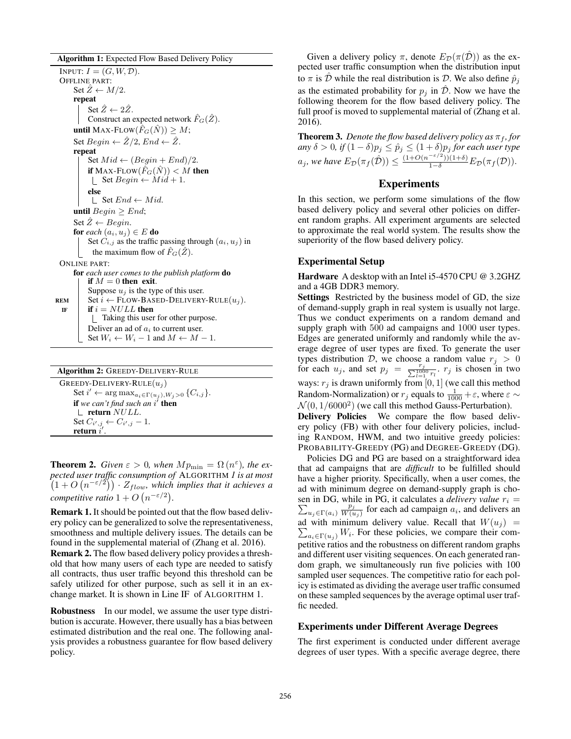Algorithm 1: Expected Flow Based Delivery Policy INPUT:  $I = (G, W, \mathcal{D}).$ OFFLINE PART: Set  $\hat{Z} \leftarrow M/2$ . repeat Set  $\ddot{Z} \leftarrow 2\ddot{Z}$ . Construct an expected network  $\hat{F}_G(\hat{Z})$ . until MAX-FLOW $(\hat{F}_G(\hat{N})) > M$ ; Set  $Begin \leftarrow \hat{Z}/2$ ,  $End \leftarrow \hat{Z}$ . repeat Set  $Mid \leftarrow (Begin + End)/2.$ if MAX-FLOW $(\hat{F}_G(\hat{N})) < M$  then  $\perp$  Set Begin ← Mid + 1. else  $\Box$  Set  $End \leftarrow Mid$ . until  $Begin \geq End;$ Set  $\hat{Z} \leftarrow Begin$ . for *each*  $(a_i, u_j) \in E$  do Set  $C_{i,j}$  as the traffic passing through  $(a_i, u_j)$  in the maximum flow of  $\hat{F}_G(\hat{Z})$ . ONLINE PART: for *each user comes to the publish platform* do if  $M = 0$  then exit. Suppose  $u_j$  is the type of this user. REM Set  $i \leftarrow$  FLOW-BASED-DELIVERY-RULE $(u_j)$ .<br>
IF if  $i = NULL$  then if  $i = NULL$  then Taking this user for other purpose. Deliver an ad of  $a_i$  to current user. Set  $W_i \leftarrow W_i - 1$  and  $M \leftarrow M - 1$ .

| <b>Algorithm 2: GREEDY-DELIVERY-RULE</b>                                  |
|---------------------------------------------------------------------------|
| GREEDY-DELIVERY-RULE $(u_i)$                                              |
| Set $i' \leftarrow \arg \max_{a_i \in \Gamma(u_i), W_i > 0} \{C_{i,j}\}.$ |
| if we can't find such an $i'$ then                                        |
| $\parallel$ return $NULL$ .                                               |
| Set $C_{i',j} \leftarrow C_{i',j} - 1$ .<br>return i'.                    |
|                                                                           |

**Theorem 2.** *Given*  $\varepsilon > 0$ *, when*  $Mp_{\text{min}} = \Omega(n^{\varepsilon})$ *, the expected user traffic consumption of* ALGORITHM *1 is at most*  $(1 + O(n^{-\epsilon/2})) \cdot Z_{flow}$ , which implies that it achieves a<br>*assumation artic*  $1 + O(n^{-\epsilon/2})$ *competitive ratio*  $1 + O(n^{-\epsilon/2})$ *.* 

Remark 1. It should be pointed out that the flow based delivery policy can be generalized to solve the representativeness, smoothness and multiple delivery issues. The details can be found in the supplemental material of (Zhang et al. 2016). Remark 2. The flow based delivery policy provides a threshold that how many users of each type are needed to satisfy all contracts, thus user traffic beyond this threshold can be safely utilized for other purpose, such as sell it in an exchange market. It is shown in Line IF of ALGORITHM 1.

Robustness In our model, we assume the user type distribution is accurate. However, there usually has a bias between estimated distribution and the real one. The following analysis provides a robustness guarantee for flow based delivery policy.

Given a delivery policy  $\pi$ , denote  $E_{\mathcal{D}}(\pi(\hat{\mathcal{D}}))$  as the expected user traffic consumption when the distribution input to  $\pi$  is  $\hat{\mathcal{D}}$  while the real distribution is  $\mathcal{D}$ . We also define  $\hat{p}_j$ as the estimated probability for  $p_i$  in  $\hat{\mathcal{D}}$ . Now we have the following theorem for the flow based delivery policy. The full proof is moved to supplemental material of (Zhang et al. 2016).

**Theorem 3.** *Denote the flow based delivery policy as*  $\pi_f$ , *for any*  $\delta > 0$ , *if*  $(1 - \delta)p_j \leq \hat{p}_j \leq (1 + \delta)p_j$  *for each user type*  $a_n y \delta > 0$ , if  $(1 - \delta)p_j \le \hat{p}_j \le (1 + \delta)p_j$  *for each user type*  $a_j$ , we have  $E_{\mathcal{D}}(\pi_f(\hat{\mathcal{D}})) \leq \frac{(1+O(n^{-\epsilon/2}))(1+\delta)}{1-\delta}E_{\mathcal{D}}(\pi_f(\mathcal{D})).$ 

# Experiments

In this section, we perform some simulations of the flow based delivery policy and several other policies on different random graphs. All experiment arguments are selected to approximate the real world system. The results show the superiority of the flow based delivery policy.

#### Experimental Setup

Hardware A desktop with an Intel i5-4570 CPU @ 3.2GHZ and a 4GB DDR3 memory.

Settings Restricted by the business model of GD, the size of demand-supply graph in real system is usually not large. Thus we conduct experiments on a random demand and supply graph with 500 ad campaigns and 1000 user types. Edges are generated uniformly and randomly while the average degree of user types are fixed. To generate the user types distribution D, we choose a random value  $r_j > 0$ <br>for each  $u_j$  and set  $n_j = \frac{r_j}{n_j}$  r is chosen in two for each  $u_j$ , and set  $p_j = \frac{r_j}{\sum_{i=1}^{1000} r_i}$ .  $r_j$  is chosen in two ways:  $r_j$  is drawn uniformly from [0, 1] (we call this method<br>Random-Normalization) or  $r_j$  equals to  $\frac{1}{1000} + \varepsilon$ , where  $\varepsilon \sim \frac{\Lambda}{1000} (1.46000^2)$  (we call this method Gauss Perturbation)  $\mathcal{N}(0, 1/6000^2)$  (we call this method Gauss-Perturbation).

Delivery Policies We compare the flow based delivery policy (FB) with other four delivery policies, including RANDOM, HWM, and two intuitive greedy policies: PROBABILITY-GREEDY (PG) and DEGREE-GREEDY (DG).

Policies DG and PG are based on a straightforward idea that ad campaigns that are *difficult* to be fulfilled should have a higher priority. Specifically, when a user comes, the ad with minimum degree on demand-supply graph is cho-  $\sum_{u_j \in \Gamma(a_i)}$ sen in DG, while in PG, it calculates a *delivery value*  $r_i$  =  $\frac{p_j}{W(u_j)}$  for each ad campaign  $a_i$ , and delivers an ad with minimum delivery value. Recall that  $W(u_j) = \sum_{n \ge 0} W_i$ . For these policies we compare their com- $\sum_{a_i \in \Gamma(u_j)} W_i$ . For these policies, we compare their competitive ratios and the robustness on different random graphs and different user visiting sequences. On each generated random graph, we simultaneously run five policies with 100 sampled user sequences. The competitive ratio for each policy is estimated as dividing the average user traffic consumed on these sampled sequences by the average optimal user traffic needed.

#### Experiments under Different Average Degrees

The first experiment is conducted under different average degrees of user types. With a specific average degree, there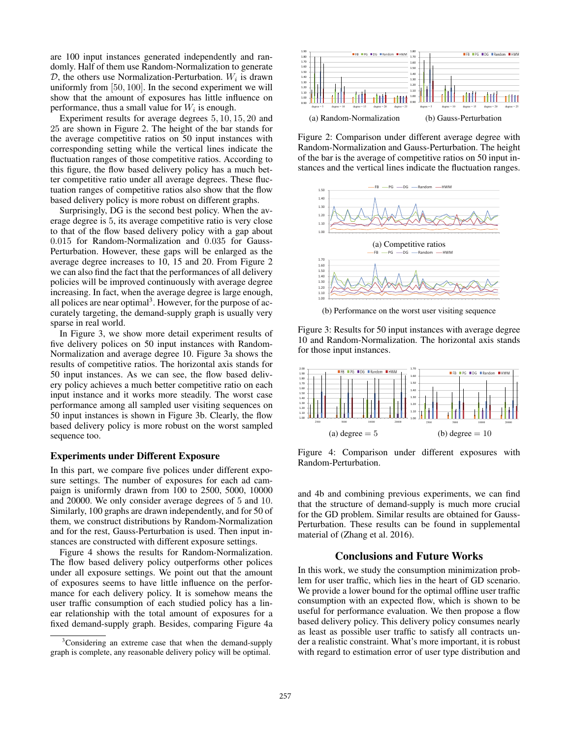are 100 input instances generated independently and randomly. Half of them use Random-Normalization to generate  $D$ , the others use Normalization-Perturbation.  $W_i$  is drawn uniformly from [50, 100]. In the second experiment we will show that the amount of exposures has little influence on performance, thus a small value for  $W_i$  is enough.

Experiment results for average degrees 5, 10, 15, 20 and 25 are shown in Figure 2. The height of the bar stands for the average competitive ratios on 50 input instances with corresponding setting while the vertical lines indicate the fluctuation ranges of those competitive ratios. According to this figure, the flow based delivery policy has a much better competitive ratio under all average degrees. These fluctuation ranges of competitive ratios also show that the flow based delivery policy is more robust on different graphs.

Surprisingly, DG is the second best policy. When the average degree is 5, its average competitive ratio is very close to that of the flow based delivery policy with a gap about 0.015 for Random-Normalization and 0.035 for Gauss-Perturbation. However, these gaps will be enlarged as the average degree increases to 10, 15 and 20. From Figure 2 we can also find the fact that the performances of all delivery policies will be improved continuously with average degree increasing. In fact, when the average degree is large enough, all polices are near optimal<sup>3</sup>. However, for the purpose of accurately targeting, the demand-supply graph is usually very sparse in real world.

In Figure 3, we show more detail experiment results of five delivery polices on 50 input instances with Random-Normalization and average degree 10. Figure 3a shows the results of competitive ratios. The horizontal axis stands for 50 input instances. As we can see, the flow based delivery policy achieves a much better competitive ratio on each input instance and it works more steadily. The worst case performance among all sampled user visiting sequences on 50 input instances is shown in Figure 3b. Clearly, the flow based delivery policy is more robust on the worst sampled sequence too.

## Experiments under Different Exposure

In this part, we compare five polices under different exposure settings. The number of exposures for each ad campaign is uniformly drawn from 100 to 2500, 5000, 10000 and 20000. We only consider average degrees of 5 and 10. Similarly, 100 graphs are drawn independently, and for 50 of them, we construct distributions by Random-Normalization and for the rest, Gauss-Perturbation is used. Then input instances are constructed with different exposure settings.

Figure 4 shows the results for Random-Normalization. The flow based delivery policy outperforms other polices under all exposure settings. We point out that the amount of exposures seems to have little influence on the performance for each delivery policy. It is somehow means the user traffic consumption of each studied policy has a linear relationship with the total amount of exposures for a fixed demand-supply graph. Besides, comparing Figure 4a



Figure 2: Comparison under different average degree with Random-Normalization and Gauss-Perturbation. The height of the bar is the average of competitive ratios on 50 input instances and the vertical lines indicate the fluctuation ranges.



(b) Performance on the worst user visiting sequence

Figure 3: Results for 50 input instances with average degree 10 and Random-Normalization. The horizontal axis stands for those input instances.



Figure 4: Comparison under different exposures with Random-Perturbation.

and 4b and combining previous experiments, we can find that the structure of demand-supply is much more crucial for the GD problem. Similar results are obtained for Gauss-Perturbation. These results can be found in supplemental material of (Zhang et al. 2016).

## Conclusions and Future Works

In this work, we study the consumption minimization problem for user traffic, which lies in the heart of GD scenario. We provide a lower bound for the optimal offline user traffic consumption with an expected flow, which is shown to be useful for performance evaluation. We then propose a flow based delivery policy. This delivery policy consumes nearly as least as possible user traffic to satisfy all contracts under a realistic constraint. What's more important, it is robust with regard to estimation error of user type distribution and

<sup>&</sup>lt;sup>3</sup>Considering an extreme case that when the demand-supply graph is complete, any reasonable delivery policy will be optimal.